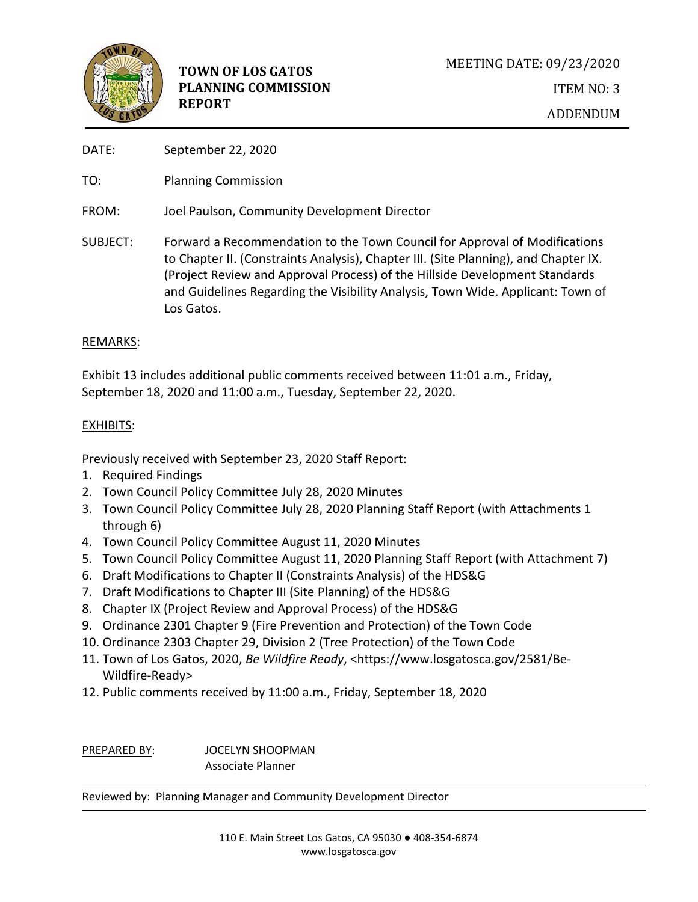

- DATE: September 22, 2020
- TO: Planning Commission
- FROM: Joel Paulson, Community Development Director
- SUBJECT: Forward a Recommendation to the Town Council for Approval of Modifications to Chapter II. (Constraints Analysis), Chapter III. (Site Planning), and Chapter IX. (Project Review and Approval Process) of the Hillside Development Standards and Guidelines Regarding the Visibility Analysis, Town Wide. Applicant: Town of Los Gatos.

## REMARKS:

Exhibit 13 includes additional public comments received between 11:01 a.m., Friday, September 18, 2020 and 11:00 a.m., Tuesday, September 22, 2020.

## EXHIBITS:

## Previously received with September 23, 2020 Staff Report:

- 1. Required Findings
- 2. Town Council Policy Committee July 28, 2020 Minutes
- 3. Town Council Policy Committee July 28, 2020 Planning Staff Report (with Attachments 1 through 6)
- 4. Town Council Policy Committee August 11, 2020 Minutes
- 5. Town Council Policy Committee August 11, 2020 Planning Staff Report (with Attachment 7)
- 6. Draft Modifications to Chapter II (Constraints Analysis) of the HDS&G
- 7. Draft Modifications to Chapter III (Site Planning) of the HDS&G
- 8. Chapter IX (Project Review and Approval Process) of the HDS&G
- 9. Ordinance 2301 Chapter 9 (Fire Prevention and Protection) of the Town Code
- 10. Ordinance 2303 Chapter 29, Division 2 (Tree Protection) of the Town Code
- 11. Town of Los Gatos, 2020, *Be Wildfire Ready*, <https://www.losgatosca.gov/2581/Be-Wildfire-Ready>
- 12. Public comments received by 11:00 a.m., Friday, September 18, 2020

PREPARED BY: JOCELYN SHOOPMAN Associate Planner

Reviewed by: Planning Manager and Community Development Director